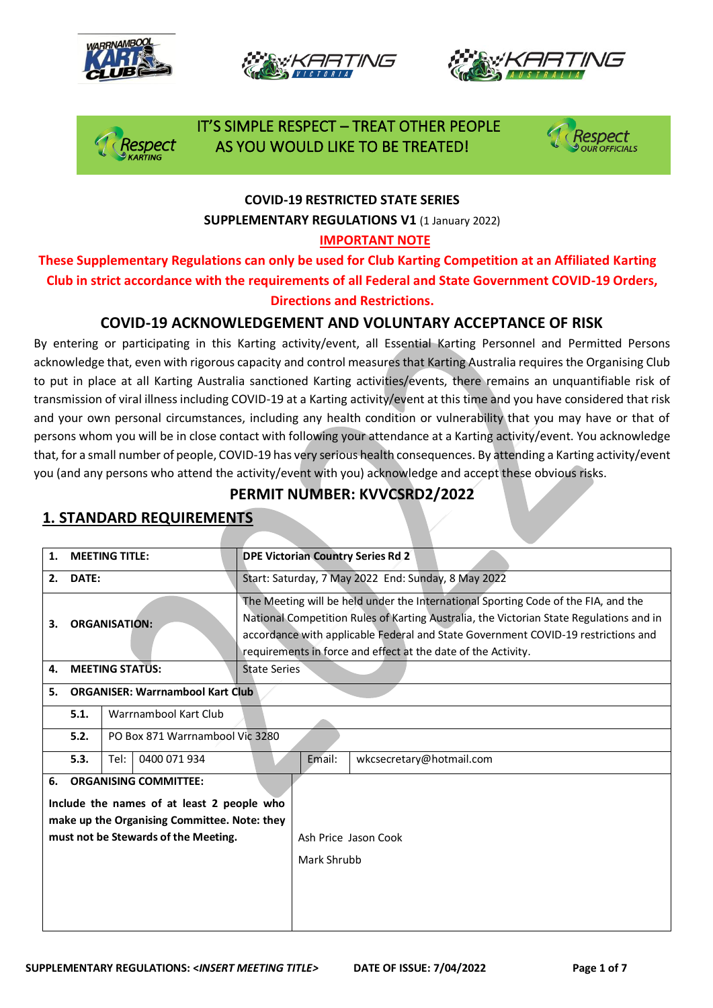







### IT'S SIMPLE RESPECT – TREAT OTHER PEOPLE espect AS YOU WOULD LIKE TO BE TREATED!



#### **COVID-19 RESTRICTED STATE SERIES SUPPLEMENTARY REGULATIONS V1** (1 January 2022)

#### **IMPORTANT NOTE**

**These Supplementary Regulations can only be used for Club Karting Competition at an Affiliated Karting Club in strict accordance with the requirements of all Federal and State Government COVID-19 Orders, Directions and Restrictions.** 

### **COVID-19 ACKNOWLEDGEMENT AND VOLUNTARY ACCEPTANCE OF RISK**

By entering or participating in this Karting activity/event, all Essential Karting Personnel and Permitted Persons acknowledge that, even with rigorous capacity and control measures that Karting Australia requires the Organising Club to put in place at all Karting Australia sanctioned Karting activities/events, there remains an unquantifiable risk of transmission of viral illness including COVID-19 at a Karting activity/event at this time and you have considered that risk and your own personal circumstances, including any health condition or vulnerability that you may have or that of persons whom you will be in close contact with following your attendance at a Karting activity/event. You acknowledge that, for a small number of people, COVID-19 has very serious health consequences. By attending a Karting activity/event you (and any persons who attend the activity/event with you) acknowledge and accept these obvious risks.

### **PERMIT NUMBER: KVVCSRD2/2022**

| <b>MEETING TITLE:</b><br>1. |                                                                                                                                                                    |      | <b>DPE Victorian Country Series Rd 2</b> |                                                                                                                                                                                                                                                                                                                                     |  |  |
|-----------------------------|--------------------------------------------------------------------------------------------------------------------------------------------------------------------|------|------------------------------------------|-------------------------------------------------------------------------------------------------------------------------------------------------------------------------------------------------------------------------------------------------------------------------------------------------------------------------------------|--|--|
| DATE:<br>2.                 |                                                                                                                                                                    |      |                                          | Start: Saturday, 7 May 2022 End: Sunday, 8 May 2022                                                                                                                                                                                                                                                                                 |  |  |
| 3.                          | <b>ORGANISATION:</b>                                                                                                                                               |      |                                          | The Meeting will be held under the International Sporting Code of the FIA, and the<br>National Competition Rules of Karting Australia, the Victorian State Regulations and in<br>accordance with applicable Federal and State Government COVID-19 restrictions and<br>requirements in force and effect at the date of the Activity. |  |  |
| 4.                          | <b>MEETING STATUS:</b>                                                                                                                                             |      |                                          | State Series                                                                                                                                                                                                                                                                                                                        |  |  |
| 5.                          | <b>ORGANISER: Warrnambool Kart Club</b>                                                                                                                            |      |                                          |                                                                                                                                                                                                                                                                                                                                     |  |  |
|                             | Warrnambool Kart Club<br>5.1.                                                                                                                                      |      |                                          |                                                                                                                                                                                                                                                                                                                                     |  |  |
|                             | PO Box 871 Warrnambool Vic 3280<br>5.2.                                                                                                                            |      |                                          |                                                                                                                                                                                                                                                                                                                                     |  |  |
|                             | 5.3.                                                                                                                                                               | Tel: | 0400 071 934                             | Email:<br>wkcsecretary@hotmail.com                                                                                                                                                                                                                                                                                                  |  |  |
| 6.                          | <b>ORGANISING COMMITTEE:</b><br>Include the names of at least 2 people who<br>make up the Organising Committee. Note: they<br>must not be Stewards of the Meeting. |      |                                          | Ash Price Jason Cook<br>Mark Shrubb                                                                                                                                                                                                                                                                                                 |  |  |

### **1. STANDARD REQUIREMENTS**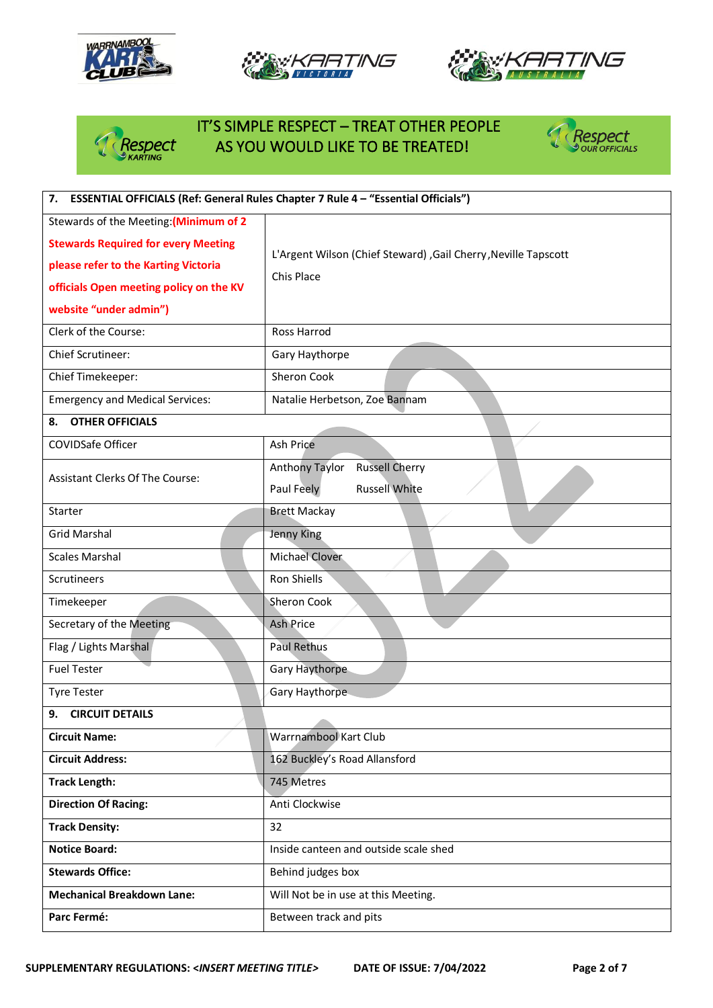







# IT'S SIMPLE RESPECT – TREAT OTHER PEOPLE<br>PRESPECT THE AS YOU WOULD LIKE TO BE TREATED! AS YOU WOULD LIKE TO BE TREATED!



| 7. ESSENTIAL OFFICIALS (Ref: General Rules Chapter 7 Rule 4 - "Essential Officials") |                                                                |  |  |
|--------------------------------------------------------------------------------------|----------------------------------------------------------------|--|--|
| Stewards of the Meeting: (Minimum of 2                                               |                                                                |  |  |
| <b>Stewards Required for every Meeting</b>                                           | L'Argent Wilson (Chief Steward), Gail Cherry, Neville Tapscott |  |  |
| please refer to the Karting Victoria                                                 | Chis Place                                                     |  |  |
| officials Open meeting policy on the KV                                              |                                                                |  |  |
| website "under admin")                                                               |                                                                |  |  |
| Clerk of the Course:                                                                 | Ross Harrod                                                    |  |  |
| Chief Scrutineer:                                                                    | Gary Haythorpe                                                 |  |  |
| Chief Timekeeper:                                                                    | Sheron Cook                                                    |  |  |
| <b>Emergency and Medical Services:</b>                                               | Natalie Herbetson, Zoe Bannam                                  |  |  |
| <b>OTHER OFFICIALS</b><br>8.                                                         |                                                                |  |  |
| COVIDSafe Officer                                                                    | Ash Price                                                      |  |  |
| <b>Assistant Clerks Of The Course:</b>                                               | <b>Russell Cherry</b><br>Anthony Taylor                        |  |  |
|                                                                                      | <b>Russell White</b><br>Paul Feely                             |  |  |
| Starter                                                                              | <b>Brett Mackay</b>                                            |  |  |
| <b>Grid Marshal</b>                                                                  | Jenny King                                                     |  |  |
| <b>Scales Marshal</b>                                                                | <b>Michael Clover</b>                                          |  |  |
| Scrutineers                                                                          | Ron Shiells                                                    |  |  |
| Timekeeper                                                                           | Sheron Cook                                                    |  |  |
| Secretary of the Meeting                                                             | <b>Ash Price</b>                                               |  |  |
| Flag / Lights Marshal                                                                | <b>Paul Rethus</b>                                             |  |  |
| <b>Fuel Tester</b>                                                                   | Gary Haythorpe                                                 |  |  |
| <b>Tyre Tester</b>                                                                   | Gary Haythorpe                                                 |  |  |
| <b>CIRCUIT DETAILS</b><br>9.                                                         |                                                                |  |  |
| <b>Circuit Name:</b>                                                                 | <b>Warrnambool Kart Club</b>                                   |  |  |
| <b>Circuit Address:</b>                                                              | 162 Buckley's Road Allansford                                  |  |  |
| <b>Track Length:</b>                                                                 | 745 Metres                                                     |  |  |
| <b>Direction Of Racing:</b>                                                          | Anti Clockwise                                                 |  |  |
| <b>Track Density:</b>                                                                | 32                                                             |  |  |
| <b>Notice Board:</b>                                                                 | Inside canteen and outside scale shed                          |  |  |
| <b>Stewards Office:</b>                                                              | Behind judges box                                              |  |  |
| <b>Mechanical Breakdown Lane:</b>                                                    | Will Not be in use at this Meeting.                            |  |  |
| Parc Fermé:                                                                          | Between track and pits                                         |  |  |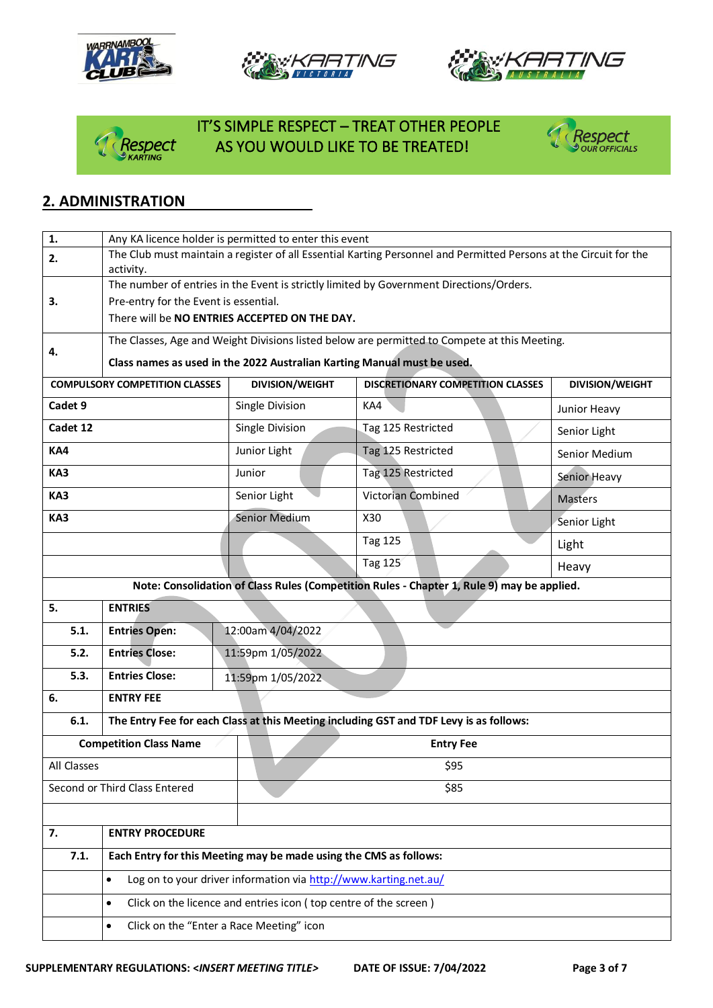







## IT'S SIMPLE RESPECT – TREAT OTHER PEOPLE *Respect* AS YOU WOULD LIKE TO BE TREATED!<br><sup>@KARTING</sup>



### **2. ADMINISTRATION**

| 1.                                                                            | Any KA licence holder is permitted to enter this event                                       |                                                                                                                   |                                                                                            |                        |  |
|-------------------------------------------------------------------------------|----------------------------------------------------------------------------------------------|-------------------------------------------------------------------------------------------------------------------|--------------------------------------------------------------------------------------------|------------------------|--|
| 2.                                                                            |                                                                                              | The Club must maintain a register of all Essential Karting Personnel and Permitted Persons at the Circuit for the |                                                                                            |                        |  |
|                                                                               | activity.                                                                                    |                                                                                                                   | The number of entries in the Event is strictly limited by Government Directions/Orders.    |                        |  |
| 3.                                                                            | Pre-entry for the Event is essential.                                                        |                                                                                                                   |                                                                                            |                        |  |
|                                                                               | There will be NO ENTRIES ACCEPTED ON THE DAY.                                                |                                                                                                                   |                                                                                            |                        |  |
|                                                                               | The Classes, Age and Weight Divisions listed below are permitted to Compete at this Meeting. |                                                                                                                   |                                                                                            |                        |  |
| 4.                                                                            | Class names as used in the 2022 Australian Karting Manual must be used.                      |                                                                                                                   |                                                                                            |                        |  |
|                                                                               | <b>COMPULSORY COMPETITION CLASSES</b>                                                        | <b>DIVISION/WEIGHT</b>                                                                                            | <b>DISCRETIONARY COMPETITION CLASSES</b>                                                   | <b>DIVISION/WEIGHT</b> |  |
| Cadet 9                                                                       |                                                                                              |                                                                                                                   | KA4                                                                                        |                        |  |
|                                                                               |                                                                                              | Single Division                                                                                                   |                                                                                            | Junior Heavy           |  |
| Cadet 12                                                                      |                                                                                              | Single Division                                                                                                   | Tag 125 Restricted                                                                         | Senior Light           |  |
| KA4                                                                           |                                                                                              | Junior Light                                                                                                      | Tag 125 Restricted                                                                         | Senior Medium          |  |
| KA3                                                                           |                                                                                              | Junior                                                                                                            | Tag 125 Restricted                                                                         | Senior Heavy           |  |
| KA3                                                                           |                                                                                              | Senior Light                                                                                                      | Victorian Combined                                                                         | <b>Masters</b>         |  |
| KA3                                                                           |                                                                                              | Senior Medium                                                                                                     | X30                                                                                        | Senior Light           |  |
|                                                                               |                                                                                              |                                                                                                                   | <b>Tag 125</b>                                                                             | Light                  |  |
|                                                                               |                                                                                              |                                                                                                                   | <b>Tag 125</b>                                                                             | Heavy                  |  |
|                                                                               |                                                                                              |                                                                                                                   | Note: Consolidation of Class Rules (Competition Rules - Chapter 1, Rule 9) may be applied. |                        |  |
| 5.                                                                            | <b>ENTRIES</b>                                                                               |                                                                                                                   |                                                                                            |                        |  |
| 5.1.                                                                          | 12:00am 4/04/2022<br><b>Entries Open:</b>                                                    |                                                                                                                   |                                                                                            |                        |  |
| 5.2.                                                                          | <b>Entries Close:</b>                                                                        | 11:59pm 1/05/2022                                                                                                 |                                                                                            |                        |  |
| 5.3.                                                                          | <b>Entries Close:</b>                                                                        | 11:59pm 1/05/2022                                                                                                 |                                                                                            |                        |  |
| 6.                                                                            | <b>ENTRY FEE</b>                                                                             |                                                                                                                   |                                                                                            |                        |  |
| 6.1.                                                                          |                                                                                              |                                                                                                                   | The Entry Fee for each Class at this Meeting including GST and TDF Levy is as follows:     |                        |  |
|                                                                               | <b>Competition Class Name</b>                                                                |                                                                                                                   | <b>Entry Fee</b>                                                                           |                        |  |
| All Classes                                                                   |                                                                                              |                                                                                                                   | \$95                                                                                       |                        |  |
|                                                                               | Second or Third Class Entered                                                                | \$85                                                                                                              |                                                                                            |                        |  |
|                                                                               |                                                                                              |                                                                                                                   |                                                                                            |                        |  |
| <b>ENTRY PROCEDURE</b><br>7.                                                  |                                                                                              |                                                                                                                   |                                                                                            |                        |  |
| 7.1.                                                                          |                                                                                              | Each Entry for this Meeting may be made using the CMS as follows:                                                 |                                                                                            |                        |  |
| Log on to your driver information via http://www.karting.net.au/<br>$\bullet$ |                                                                                              |                                                                                                                   |                                                                                            |                        |  |
|                                                                               | $\bullet$                                                                                    | Click on the licence and entries icon (top centre of the screen)                                                  |                                                                                            |                        |  |
|                                                                               | Click on the "Enter a Race Meeting" icon<br>$\bullet$                                        |                                                                                                                   |                                                                                            |                        |  |
|                                                                               |                                                                                              |                                                                                                                   |                                                                                            |                        |  |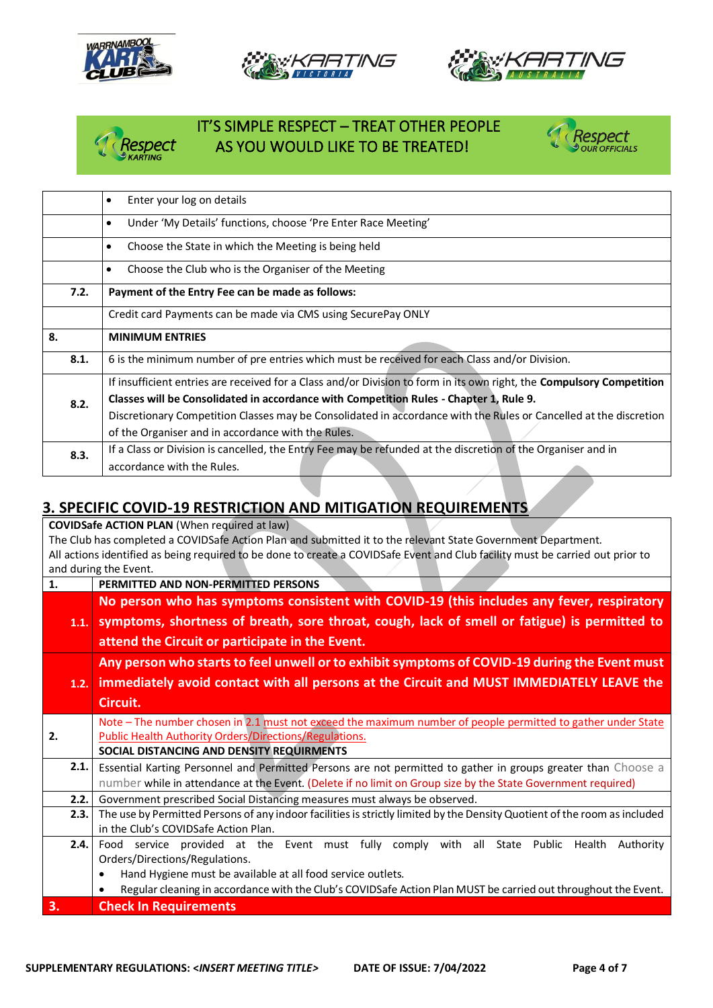







### IT'S SIMPLE RESPECT – TREAT OTHER PEOPLE espect \_\_\_\_\_\_ AS YOU WOULD LIKE TO BE TREATED!



|      | Enter your log on details<br>$\bullet$                                                                                |  |  |
|------|-----------------------------------------------------------------------------------------------------------------------|--|--|
|      | Under 'My Details' functions, choose 'Pre Enter Race Meeting'<br>$\bullet$                                            |  |  |
|      | Choose the State in which the Meeting is being held<br>$\bullet$                                                      |  |  |
|      | Choose the Club who is the Organiser of the Meeting<br>$\bullet$                                                      |  |  |
| 7.2. | Payment of the Entry Fee can be made as follows:                                                                      |  |  |
|      | Credit card Payments can be made via CMS using SecurePay ONLY                                                         |  |  |
| 8.   | <b>MINIMUM ENTRIES</b>                                                                                                |  |  |
| 8.1. | 6 is the minimum number of pre entries which must be received for each Class and/or Division.                         |  |  |
|      | If insufficient entries are received for a Class and/or Division to form in its own right, the Compulsory Competition |  |  |
| 8.2. | Classes will be Consolidated in accordance with Competition Rules - Chapter 1, Rule 9.                                |  |  |
|      | Discretionary Competition Classes may be Consolidated in accordance with the Rules or Cancelled at the discretion     |  |  |
|      | of the Organiser and in accordance with the Rules.                                                                    |  |  |
| 8.3. | If a Class or Division is cancelled, the Entry Fee may be refunded at the discretion of the Organiser and in          |  |  |
|      | accordance with the Rules.                                                                                            |  |  |

### **3. SPECIFIC COVID-19 RESTRICTION AND MITIGATION REQUIREMENTS**

**COVIDSafe ACTION PLAN** (When required at law) The Club has completed a COVIDSafe Action Plan and submitted it to the relevant State Government Department. All actions identified as being required to be done to create a COVIDSafe Event and Club facility must be carried out prior to and during the Event. **1. PERMITTED AND NON-PERMITTED PERSONS 1.1. symptoms, shortness of breath, sore throat, cough, lack of smell or fatigue) is permitted to No person who has symptoms consistent with COVID-19 (this includes any fever, respiratory attend the Circuit or participate in the Event. 1.2. immediately avoid contact with all persons at the Circuit and MUST IMMEDIATELY LEAVE the Any person who starts to feel unwell or to exhibit symptoms of COVID-19 during the Event must Circuit. 2.** Note – The number chosen in 2.1 must not exceed the maximum number of people permitted to gather under State Public Health Authority Orders/Directions/Regulations. **SOCIAL DISTANCING AND DENSITY REQUIRMENTS 2.1.** Essential Karting Personnel and Permitted Persons are not permitted to gather in groups greater than Choose a number while in attendance at the Event. (Delete if no limit on Group size by the State Government required) **2.2.** Government prescribed Social Distancing measures must always be observed. **2.3.** The use by Permitted Persons of any indoor facilities is strictly limited by the Density Quotient of the room as included in the Club's COVIDSafe Action Plan. **2.4.** Food service provided at the Event must fully comply with all State Public Health Authority Orders/Directions/Regulations. • Hand Hygiene must be available at all food service outlets. • Regular cleaning in accordance with the Club's COVIDSafe Action Plan MUST be carried out throughout the Event. **3. Check In Requirements**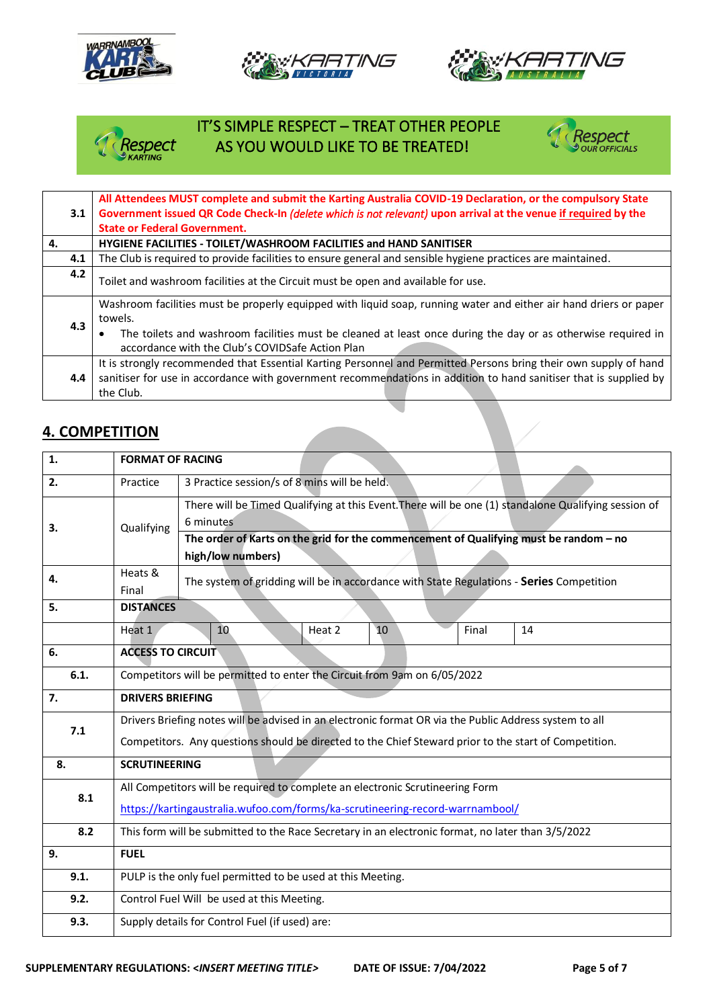







## IT'S SIMPLE RESPECT – TREAT OTHER PEOPLE<br>Respect AS YOU WOULD LIKE TO BE TREATED! AS YOU WOULD LIKE TO BE TREATED!



| 3.1 | All Attendees MUST complete and submit the Karting Australia COVID-19 Declaration, or the compulsory State<br>Government issued QR Code Check-In (delete which is not relevant) upon arrival at the venue if required by the                       |  |  |
|-----|----------------------------------------------------------------------------------------------------------------------------------------------------------------------------------------------------------------------------------------------------|--|--|
| 4.  | <b>State or Federal Government.</b><br>HYGIENE FACILITIES - TOILET/WASHROOM FACILITIES and HAND SANITISER                                                                                                                                          |  |  |
|     |                                                                                                                                                                                                                                                    |  |  |
| 4.1 | The Club is required to provide facilities to ensure general and sensible hygiene practices are maintained.                                                                                                                                        |  |  |
| 4.2 | Toilet and washroom facilities at the Circuit must be open and available for use.                                                                                                                                                                  |  |  |
| 4.3 | Washroom facilities must be properly equipped with liquid soap, running water and either air hand driers or paper<br>towels.                                                                                                                       |  |  |
|     | The toilets and washroom facilities must be cleaned at least once during the day or as otherwise required in<br>accordance with the Club's COVIDSafe Action Plan                                                                                   |  |  |
| 4.4 | It is strongly recommended that Essential Karting Personnel and Permitted Persons bring their own supply of hand<br>sanitiser for use in accordance with government recommendations in addition to hand sanitiser that is supplied by<br>the Club. |  |  |

#### **4. COMPETITION**

| 1.   | <b>FORMAT OF RACING</b>                                                                                      |                                                                                                                   |  |  |  |
|------|--------------------------------------------------------------------------------------------------------------|-------------------------------------------------------------------------------------------------------------------|--|--|--|
| 2.   | Practice                                                                                                     | 3 Practice session/s of 8 mins will be held.                                                                      |  |  |  |
| 3.   | Qualifying                                                                                                   | There will be Timed Qualifying at this Event. There will be one (1) standalone Qualifying session of<br>6 minutes |  |  |  |
|      |                                                                                                              | The order of Karts on the grid for the commencement of Qualifying must be random - no<br>high/low numbers)        |  |  |  |
| 4.   | Heats &<br>The system of gridding will be in accordance with State Regulations - Series Competition<br>Final |                                                                                                                   |  |  |  |
| 5.   | <b>DISTANCES</b>                                                                                             |                                                                                                                   |  |  |  |
|      | Heat 1                                                                                                       | 10<br>Heat 2<br>10<br>Final<br>14                                                                                 |  |  |  |
| 6.   | <b>ACCESS TO CIRCUIT</b>                                                                                     |                                                                                                                   |  |  |  |
| 6.1. | Competitors will be permitted to enter the Circuit from 9am on 6/05/2022                                     |                                                                                                                   |  |  |  |
| 7.   | <b>DRIVERS BRIEFING</b>                                                                                      |                                                                                                                   |  |  |  |
| 7.1  | Drivers Briefing notes will be advised in an electronic format OR via the Public Address system to all       |                                                                                                                   |  |  |  |
|      | Competitors. Any questions should be directed to the Chief Steward prior to the start of Competition.        |                                                                                                                   |  |  |  |
| 8.   | <b>SCRUTINEERING</b>                                                                                         |                                                                                                                   |  |  |  |
| 8.1  |                                                                                                              | All Competitors will be required to complete an electronic Scrutineering Form                                     |  |  |  |
|      | https://kartingaustralia.wufoo.com/forms/ka-scrutineering-record-warrnambool/                                |                                                                                                                   |  |  |  |
| 8.2  | This form will be submitted to the Race Secretary in an electronic format, no later than 3/5/2022            |                                                                                                                   |  |  |  |
| 9.   | <b>FUEL</b>                                                                                                  |                                                                                                                   |  |  |  |
| 9.1. | PULP is the only fuel permitted to be used at this Meeting.                                                  |                                                                                                                   |  |  |  |
| 9.2. | Control Fuel Will be used at this Meeting.                                                                   |                                                                                                                   |  |  |  |
| 9.3. | Supply details for Control Fuel (if used) are:                                                               |                                                                                                                   |  |  |  |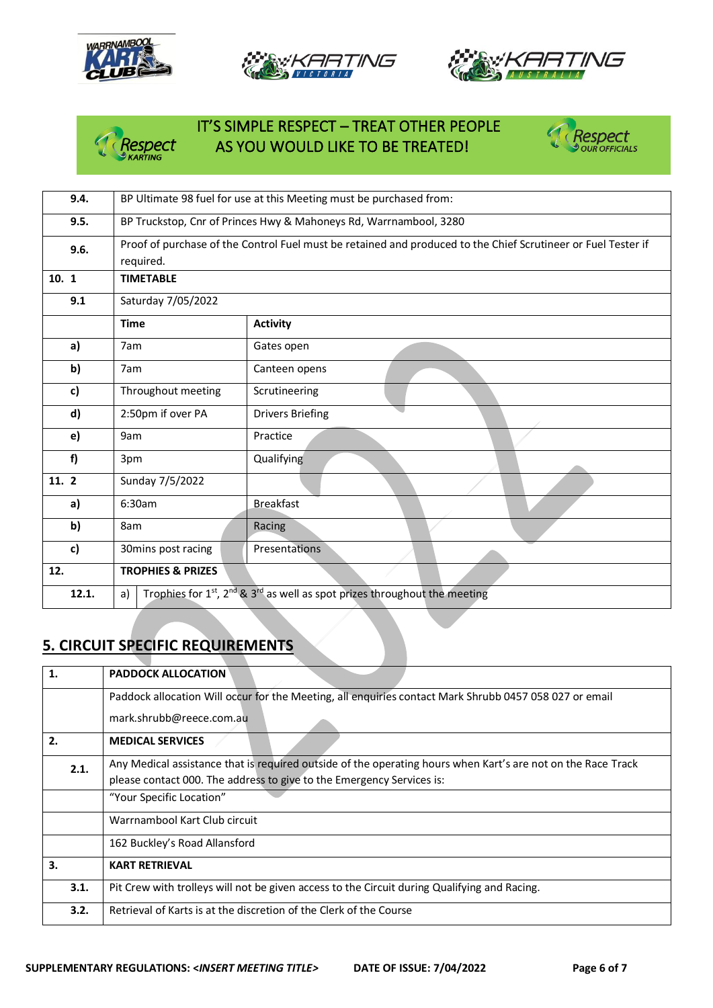





## IT'S SIMPLE RESPECT – TREAT OTHER PEOPLE<br>Respect AS YOU WOULD LIKE TO BE TREATED! AS YOU WOULD LIKE TO BE TREATED!



| 9.4.  |                                                                                                                            | BP Ultimate 98 fuel for use at this Meeting must be purchased from:       |  |
|-------|----------------------------------------------------------------------------------------------------------------------------|---------------------------------------------------------------------------|--|
| 9.5.  | BP Truckstop, Cnr of Princes Hwy & Mahoneys Rd, Warrnambool, 3280                                                          |                                                                           |  |
| 9.6.  | Proof of purchase of the Control Fuel must be retained and produced to the Chief Scrutineer or Fuel Tester if<br>required. |                                                                           |  |
| 10.1  | <b>TIMETABLE</b>                                                                                                           |                                                                           |  |
| 9.1   | Saturday 7/05/2022                                                                                                         |                                                                           |  |
|       | <b>Time</b>                                                                                                                | <b>Activity</b>                                                           |  |
| a)    | 7am                                                                                                                        | Gates open                                                                |  |
| b)    | 7am                                                                                                                        | Canteen opens                                                             |  |
| c)    | Throughout meeting                                                                                                         | Scrutineering                                                             |  |
| d)    | 2:50pm if over PA                                                                                                          | <b>Drivers Briefing</b>                                                   |  |
| e)    | 9am                                                                                                                        | Practice                                                                  |  |
| f)    | 3pm                                                                                                                        | Qualifying                                                                |  |
| 11. 2 | Sunday 7/5/2022                                                                                                            |                                                                           |  |
| a)    | 6:30am                                                                                                                     | <b>Breakfast</b>                                                          |  |
| b)    | 8am                                                                                                                        | Racing                                                                    |  |
| c)    | 30mins post racing                                                                                                         | <b>Presentations</b>                                                      |  |
| 12.   | <b>TROPHIES &amp; PRIZES</b>                                                                                               |                                                                           |  |
| 12.1. | a)                                                                                                                         | Trophies for 1st, 2nd & 3rd as well as spot prizes throughout the meeting |  |
|       |                                                                                                                            |                                                                           |  |

## **5. CIRCUIT SPECIFIC REQUIREMENTS**

| 1.   | <b>PADDOCK ALLOCATION</b>                                                                                    |  |  |
|------|--------------------------------------------------------------------------------------------------------------|--|--|
|      | Paddock allocation Will occur for the Meeting, all enquiries contact Mark Shrubb 0457 058 027 or email       |  |  |
|      | mark.shrubb@reece.com.au                                                                                     |  |  |
| 2.   | <b>MEDICAL SERVICES</b>                                                                                      |  |  |
| 2.1. | Any Medical assistance that is required outside of the operating hours when Kart's are not on the Race Track |  |  |
|      | please contact 000. The address to give to the Emergency Services is:                                        |  |  |
|      | "Your Specific Location"                                                                                     |  |  |
|      | Warrnambool Kart Club circuit                                                                                |  |  |
|      | 162 Buckley's Road Allansford                                                                                |  |  |
| 3.   | <b>KART RETRIEVAL</b>                                                                                        |  |  |
| 3.1. | Pit Crew with trolleys will not be given access to the Circuit during Qualifying and Racing.                 |  |  |
| 3.2. | Retrieval of Karts is at the discretion of the Clerk of the Course                                           |  |  |